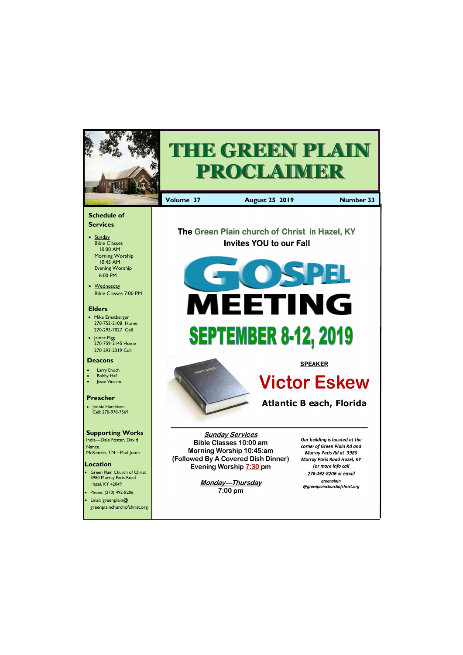Email: greenplain@ greenplainchurchofchrist.org

Hazel, KY 42049 • Phone: (270) 492-8206



 $7:00 \text{ pm}$ 

greenplain @greenplainchurchofchrist.org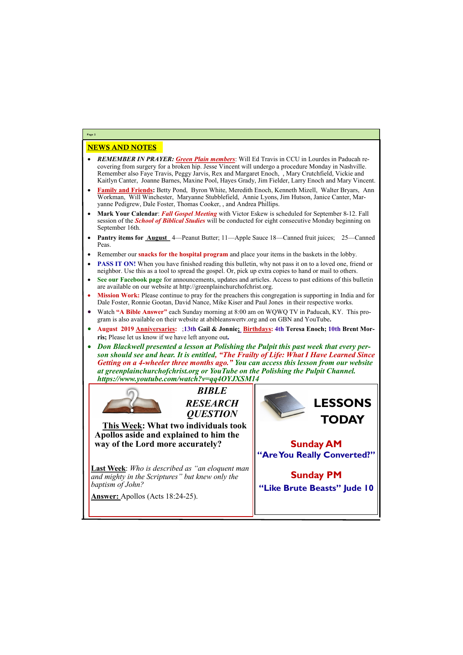## NEWS AND NOTES

- *REMEMBER IN PRAYER: Green Plain members*: Will Ed Travis in CCU in Lourdes in Paducah recovering from surgery for a broken hip. Jesse Vincent will undergo a procedure Monday in Nashville. Remember also Faye Travis, Peggy Jarvis, Rex and Margaret Enoch, , Mary Crutchfield, Vickie and Kaitlyn Canter, Joanne Barnes, Maxine Pool, Hayes Grady, Jim Fielder, Larry Enoch and Mary Vincent.
- **Family and Friends:** Betty Pond, Byron White, Meredith Enoch, Kenneth Mizell, Walter Bryars, Ann Workman, Will Winchester, Maryanne Stubblefield, Annie Lyons, Jim Hutson, Janice Canter, Maryanne Pedigrew, Dale Foster, Thomas Cooker, , and Andrea Phillips.
- **Mark Your Calendar**: *Fall Gospel Meeting* with Victor Eskew is scheduled for September 8-12. Fall session of the *School of Biblical Studies* will be conducted for eight consecutive Monday beginning on September 16th.
- **Pantry items for <u>August</u>** 4—Peanut Butter; 11—Apple Sauce 18—Canned fruit juices; 25—Canned Peas.
- Remember our **snacks for the hospital program** and place your items in the baskets in the lobby.
- **PASS IT ON!** When you have finished reading this bulletin, why not pass it on to a loved one, friend or neighbor. Use this as a tool to spread the gospel. Or, pick up extra copies to hand or mail to others.
- **See our Facebook page** for announcements, updates and articles. Access to past editions of this bulletin are available on our website at http://greenplainchurchofchrist.org.
- **Mission Work:** Please continue to pray for the preachers this congregation is supporting in India and for Dale Foster, Ronnie Gootan, David Nance, Mike Kiser and Paul Jones in their respective works.
- Watch **"A Bible Answer"** each Sunday morning at 8:00 am on WQWQ TV in Paducah, KY. This program is also available on their website at abibleanswertv.org and on GBN and YouTube**.**
- **August 2019 Anniversaries:** ;**13th Gail & Jonnie; Birthdays: 4th Teresa Enoch; 10th Brent Morris;** Please let us know if we have left anyone out*.*
- *Don Blackwell presented a lesson at Polishing the Pulpit this past week that every person should see and hear. It is entitled, "The Frailty of Life: What I Have Learned Since Getting on a 4-wheeler three months ago." You can access this lesson from our website at greenplainchurchofchrist.org or YouTube on the Polishing the Pulpit Channel. https://www.youtube.com/watch?v=qq4OYJXSM14*



**Page 2**

*BIBLE RESEARCH QUESTION*

**This Week: What two individuals took Apollos aside and explained to him the way of the Lord more accurately?**

**Last Week**: *Who is described as "an eloquent man and mighty in the Scriptures" but knew only the baptism of John?*





**Sunday PM "Like Brute Beasts" Jude 10**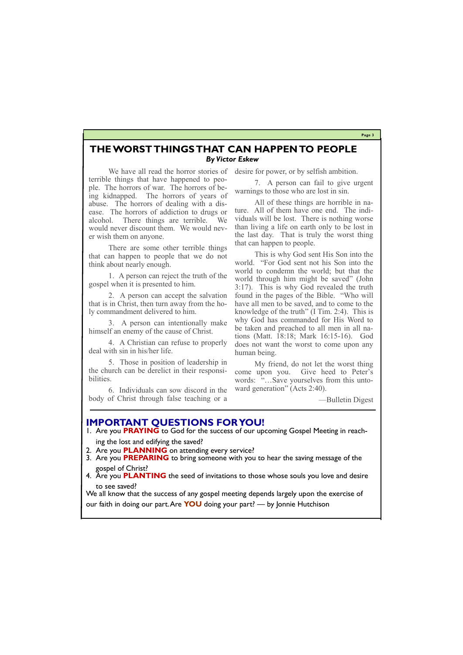**Page 3**

## **THE WORST THINGS THAT CAN HAPPEN TO PEOPLE** *By Victor Eskew*

We have all read the horror stories of terrible things that have happened to people. The horrors of war. The horrors of being kidnapped. The horrors of years of abuse. The horrors of dealing with a disease. The horrors of addiction to drugs or alcohol. There things are terrible. We would never discount them. We would never wish them on anyone.

There are some other terrible things that can happen to people that we do not think about nearly enough.

1. A person can reject the truth of the gospel when it is presented to him.

2. A person can accept the salvation that is in Christ, then turn away from the holy commandment delivered to him.

3. A person can intentionally make himself an enemy of the cause of Christ.

4. A Christian can refuse to properly deal with sin in his/her life.

5. Those in position of leadership in the church can be derelict in their responsibilities.

6. Individuals can sow discord in the body of Christ through false teaching or a

desire for power, or by selfish ambition.

7. A person can fail to give urgent warnings to those who are lost in sin.

All of these things are horrible in nature. All of them have one end. The individuals will be lost. There is nothing worse than living a life on earth only to be lost in the last day. That is truly the worst thing that can happen to people.

This is why God sent His Son into the world. "For God sent not his Son into the world to condemn the world; but that the world through him might be saved" (John 3:17). This is why God revealed the truth found in the pages of the Bible. "Who will have all men to be saved, and to come to the knowledge of the truth" (I Tim. 2:4). This is why God has commanded for His Word to be taken and preached to all men in all nations (Matt. 18:18; Mark 16:15-16). God does not want the worst to come upon any human being.

My friend, do not let the worst thing come upon you. Give heed to Peter's words: "…Save yourselves from this untoward generation" (Acts 2:40).

—Bulletin Digest

## **IMPORTANT QUESTIONS FOR YOU!**

1. Are you **PRAYING** to God for the success of our upcoming Gospel Meeting in reaching the lost and edifying the saved?

- 2. Are you **PLANNING** on attending every service?
- 3. Are you **PREPARING** to bring someone with you to hear the saving message of the gospel of Christ?
- 4. Are you **PLANTING** the seed of invitations to those whose souls you love and desire to see saved?

We all know that the success of any gospel meeting depends largely upon the exercise of

our faith in doing our part. Are **YOU** doing your part? — by Jonnie Hutchison